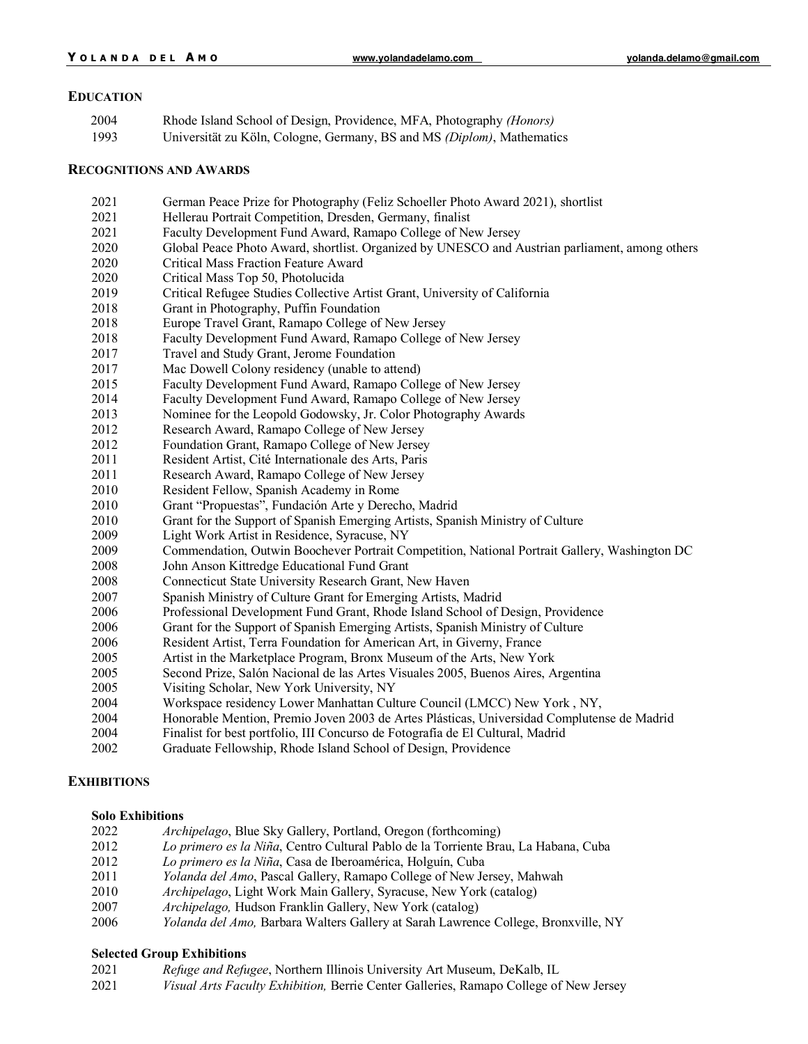#### **EDUCATION**

| 2004 | Rhode Island School of Design, Providence, MFA, Photography (Honors)        |
|------|-----------------------------------------------------------------------------|
| 1002 | University zu Köln Cologne Germany, $\mathbb{R}$ and MS (Dinlam) Mathematic |

Universität zu Köln, Cologne, Germany, BS and MS *(Diplom)*, Mathematics

#### **RECOGNITIONS AND AWARDS**

- German Peace Prize for Photography (Feliz Schoeller Photo Award 2021), shortlist
- Hellerau Portrait Competition, Dresden, Germany, finalist
- Faculty Development Fund Award, Ramapo College of New Jersey
- Global Peace Photo Award, shortlist. Organized by UNESCO and Austrian parliament, among others
- Critical Mass Fraction Feature Award
- Critical Mass Top 50, Photolucida
- Critical Refugee Studies Collective Artist Grant, University of California
- Grant in Photography, Puffin Foundation
- Europe Travel Grant, Ramapo College of New Jersey
- Faculty Development Fund Award, Ramapo College of New Jersey
- Travel and Study Grant, Jerome Foundation
- Mac Dowell Colony residency (unable to attend)
- Faculty Development Fund Award, Ramapo College of New Jersey
- Faculty Development Fund Award, Ramapo College of New Jersey
- Nominee for the Leopold Godowsky, Jr. Color Photography Awards
- Research Award, Ramapo College of New Jersey
- Foundation Grant, Ramapo College of New Jersey
- Resident Artist, Cité Internationale des Arts, Paris
- Research Award, Ramapo College of New Jersey
- Resident Fellow, Spanish Academy in Rome
- Grant "Propuestas", Fundación Arte y Derecho, Madrid
- Grant for the Support of Spanish Emerging Artists, Spanish Ministry of Culture
- 2009 Light Work Artist in Residence, Syracuse, NY
- Commendation, Outwin Boochever Portrait Competition, National Portrait Gallery, Washington DC
- John Anson Kittredge Educational Fund Grant
- Connecticut State University Research Grant, New Haven
- Spanish Ministry of Culture Grant for Emerging Artists, Madrid
- Professional Development Fund Grant, Rhode Island School of Design, Providence
- Grant for the Support of Spanish Emerging Artists, Spanish Ministry of Culture
- Resident Artist, Terra Foundation for American Art, in Giverny, France
- Artist in the Marketplace Program, Bronx Museum of the Arts, New York
- Second Prize, Salón Nacional de las Artes Visuales 2005, Buenos Aires, Argentina
- Visiting Scholar, New York University, NY
- Workspace residency Lower Manhattan Culture Council (LMCC) New York , NY,
- Honorable Mention, Premio Joven 2003 de Artes Plásticas, Universidad Complutense de Madrid
- Finalist for best portfolio, III Concurso de Fotografía de El Cultural, Madrid
- Graduate Fellowship, Rhode Island School of Design, Providence

## **EXHIBITIONS**

#### **Solo Exhibitions**

| 2022 | <i>Archipelago</i> , Blue Sky Gallery, Portland, Oregon (forthcoming)                      |
|------|--------------------------------------------------------------------------------------------|
| 2012 | Lo primero es la Niña, Centro Cultural Pablo de la Torriente Brau, La Habana, Cuba         |
| 2012 | Lo primero es la Niña, Casa de Iberoamérica, Holguín, Cuba                                 |
| 2011 | Yolanda del Amo, Pascal Gallery, Ramapo College of New Jersey, Mahwah                      |
| 2010 | Archipelago, Light Work Main Gallery, Syracuse, New York (catalog)                         |
| 2007 | <i>Archipelago</i> , Hudson Franklin Gallery, New York (catalog)                           |
| 2006 | <i>Yolanda del Amo</i> , Barbara Walters Gallery at Sarah Lawrence College, Bronxville, NY |

#### **Selected Group Exhibitions**

- *Refuge and Refugee*, Northern Illinois University Art Museum, DeKalb, IL
- *Visual Arts Faculty Exhibition,* Berrie Center Galleries, Ramapo College of New Jersey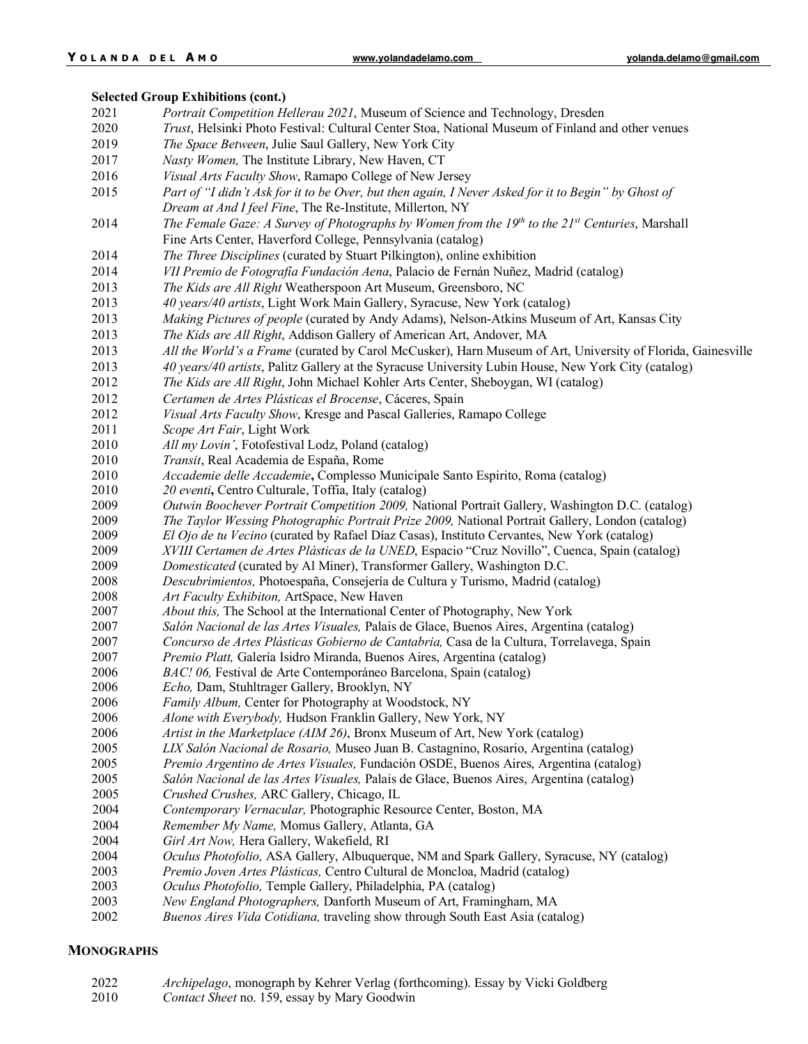# **Selected Group Exhibitions (cont.)**

| 2021 | Portrait Competition Hellerau 2021, Museum of Science and Technology, Dresden                               |
|------|-------------------------------------------------------------------------------------------------------------|
| 2020 | Trust, Helsinki Photo Festival: Cultural Center Stoa, National Museum of Finland and other venues           |
| 2019 | The Space Between, Julie Saul Gallery, New York City                                                        |
| 2017 | Nasty Women, The Institute Library, New Haven, CT                                                           |
| 2016 | Visual Arts Faculty Show, Ramapo College of New Jersey                                                      |
| 2015 | Part of "I didn't Ask for it to be Over, but then again, I Never Asked for it to Begin" by Ghost of         |
|      | Dream at And I feel Fine, The Re-Institute, Millerton, NY                                                   |
| 2014 | The Female Gaze: A Survey of Photographs by Women from the $19th$ to the $21st$ Centuries, Marshall         |
|      | Fine Arts Center, Haverford College, Pennsylvania (catalog)                                                 |
| 2014 | The Three Disciplines (curated by Stuart Pilkington), online exhibition                                     |
| 2014 | VII Premio de Fotografía Fundación Aena, Palacio de Fernán Nuñez, Madrid (catalog)                          |
| 2013 | The Kids are All Right Weatherspoon Art Museum, Greensboro, NC                                              |
| 2013 | 40 years/40 artists, Light Work Main Gallery, Syracuse, New York (catalog)                                  |
| 2013 | Making Pictures of people (curated by Andy Adams), Nelson-Atkins Museum of Art, Kansas City                 |
| 2013 | The Kids are All Right, Addison Gallery of American Art, Andover, MA                                        |
| 2013 | All the World's a Frame (curated by Carol McCusker), Harn Museum of Art, University of Florida, Gainesville |
| 2013 | 40 years/40 artists, Palitz Gallery at the Syracuse University Lubin House, New York City (catalog)         |
| 2012 | The Kids are All Right, John Michael Kohler Arts Center, Sheboygan, WI (catalog)                            |
| 2012 | Certamen de Artes Plásticas el Brocense, Cáceres, Spain                                                     |
| 2012 | Visual Arts Faculty Show, Kresge and Pascal Galleries, Ramapo College                                       |
| 2011 | Scope Art Fair, Light Work                                                                                  |
| 2010 | All my Lovin', Fotofestival Lodz, Poland (catalog)                                                          |
| 2010 | Transit, Real Academia de España, Rome                                                                      |
| 2010 | Accademie delle Accademie, Complesso Municipale Santo Espirito, Roma (catalog)                              |
| 2010 | 20 eventi, Centro Culturale, Toffia, Italy (catalog)                                                        |
| 2009 | Outwin Boochever Portrait Competition 2009, National Portrait Gallery, Washington D.C. (catalog)            |
| 2009 | The Taylor Wessing Photographic Portrait Prize 2009, National Portrait Gallery, London (catalog)            |
| 2009 | El Ojo de tu Vecino (curated by Rafael Díaz Casas), Instituto Cervantes, New York (catalog)                 |
| 2009 | XVIII Certamen de Artes Plásticas de la UNED, Espacio "Cruz Novillo", Cuenca, Spain (catalog)               |
| 2009 | Domesticated (curated by Al Miner), Transformer Gallery, Washington D.C.                                    |
| 2008 | Descubrimientos, Photoespaña, Consejería de Cultura y Turismo, Madrid (catalog)                             |
| 2008 | Art Faculty Exhibiton, ArtSpace, New Haven                                                                  |
| 2007 | About this, The School at the International Center of Photography, New York                                 |
| 2007 | Salón Nacional de las Artes Visuales, Palais de Glace, Buenos Aires, Argentina (catalog)                    |
| 2007 | Concurso de Artes Plásticas Gobierno de Cantabria, Casa de la Cultura, Torrelavega, Spain                   |
| 2007 | Premio Platt, Galería Isidro Miranda, Buenos Aires, Argentina (catalog)                                     |
| 2006 | BAC! 06, Festival de Arte Contemporáneo Barcelona, Spain (catalog)                                          |
| 2006 | Echo, Dam, Stuhltrager Gallery, Brooklyn, NY                                                                |
| 2006 | <i>Family Album,</i> Center for Photography at Woodstock, NY                                                |
| 2006 | Alone with Everybody, Hudson Franklin Gallery, New York, NY                                                 |
| 2006 | Artist in the Marketplace (AIM 26), Bronx Museum of Art, New York (catalog)                                 |
| 2005 | LIX Salón Nacional de Rosario, Museo Juan B. Castagnino, Rosario, Argentina (catalog)                       |
| 2005 | Premio Argentino de Artes Visuales, Fundación OSDE, Buenos Aires, Argentina (catalog)                       |
| 2005 | Salón Nacional de las Artes Visuales, Palais de Glace, Buenos Aires, Argentina (catalog)                    |
| 2005 | Crushed Crushes, ARC Gallery, Chicago, IL                                                                   |
| 2004 | Contemporary Vernacular, Photographic Resource Center, Boston, MA                                           |
| 2004 | Remember My Name, Momus Gallery, Atlanta, GA                                                                |
| 2004 | Girl Art Now, Hera Gallery, Wakefield, RI                                                                   |
| 2004 | Oculus Photofolio, ASA Gallery, Albuquerque, NM and Spark Gallery, Syracuse, NY (catalog)                   |
| 2003 | Premio Joven Artes Plásticas, Centro Cultural de Moncloa, Madrid (catalog)                                  |
| 2003 | Oculus Photofolio, Temple Gallery, Philadelphia, PA (catalog)                                               |
| 2003 | New England Photographers, Danforth Museum of Art, Framingham, MA                                           |
| 2002 | <i><u><u><u>Dugnos Ainos Vida Cotidiana</u></u></u></i> travaling show through South East Asia (ostalog)    |

*Buenos Aires Vida Cotidiana,* traveling show through South East Asia (catalog)

# **MONOGRAPHS**

| 2022 | Archipelago, monograph by Kehrer Verlag (forthcoming). Essay by Vicki Goldberg |
|------|--------------------------------------------------------------------------------|
| 2010 | <i>Contact Sheet</i> no. 159, essay by Mary Goodwin                            |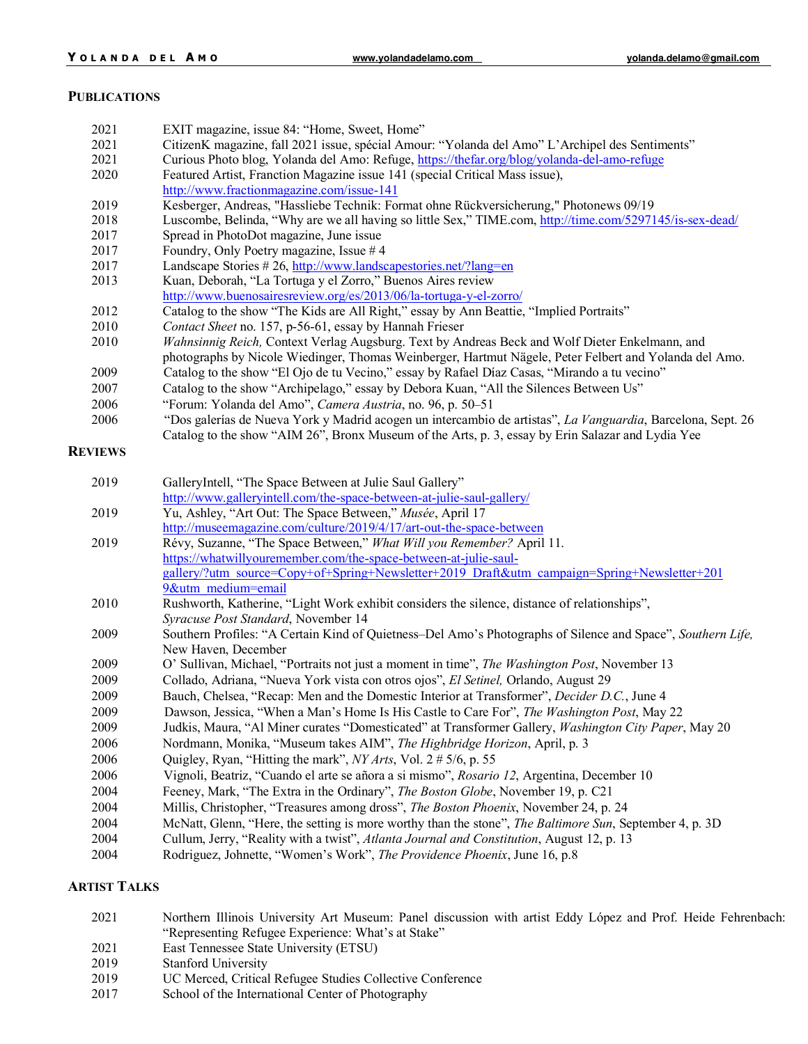#### **PUBLICATIONS**

| 2021           | EXIT magazine, issue 84: "Home, Sweet, Home"                                                                    |
|----------------|-----------------------------------------------------------------------------------------------------------------|
| 2021           | CitizenK magazine, fall 2021 issue, spécial Amour: "Yolanda del Amo" L'Archipel des Sentiments"                 |
| 2021           | Curious Photo blog, Yolanda del Amo: Refuge, https://thefar.org/blog/yolanda-del-amo-refuge                     |
| 2020           | Featured Artist, Franction Magazine issue 141 (special Critical Mass issue),                                    |
|                | http://www.fractionmagazine.com/issue-141                                                                       |
| 2019           | Kesberger, Andreas, "Hassliebe Technik: Format ohne Rückversicherung," Photonews 09/19                          |
| 2018           | Luscombe, Belinda, "Why are we all having so little Sex," TIME.com, http://time.com/5297145/is-sex-dead/        |
| 2017           | Spread in PhotoDot magazine, June issue                                                                         |
| 2017           | Foundry, Only Poetry magazine, Issue $#4$                                                                       |
| 2017           | Landscape Stories # 26, http://www.landscapestories.net/?lang=en                                                |
| 2013           | Kuan, Deborah, "La Tortuga y el Zorro," Buenos Aires review                                                     |
|                | http://www.buenosairesreview.org/es/2013/06/la-tortuga-y-el-zorro/                                              |
| 2012           | Catalog to the show "The Kids are All Right," essay by Ann Beattie, "Implied Portraits"                         |
| 2010           | Contact Sheet no. 157, p-56-61, essay by Hannah Frieser                                                         |
| 2010           | Wahnsinnig Reich, Context Verlag Augsburg. Text by Andreas Beck and Wolf Dieter Enkelmann, and                  |
|                | photographs by Nicole Wiedinger, Thomas Weinberger, Hartmut Nägele, Peter Felbert and Yolanda del Amo.          |
| 2009           | Catalog to the show "El Ojo de tu Vecino," essay by Rafael Díaz Casas, "Mirando a tu vecino"                    |
| 2007           | Catalog to the show "Archipelago," essay by Debora Kuan, "All the Silences Between Us"                          |
| 2006           | "Forum: Yolanda del Amo", Camera Austria, no. 96, p. 50-51                                                      |
| 2006           | "Dos galerías de Nueva York y Madrid acogen un intercambio de artistas", La Vanguardia, Barcelona, Sept. 26     |
|                | Catalog to the show "AIM 26", Bronx Museum of the Arts, p. 3, essay by Erin Salazar and Lydia Yee               |
| <b>REVIEWS</b> |                                                                                                                 |
|                |                                                                                                                 |
| 2019           | GalleryIntell, "The Space Between at Julie Saul Gallery"                                                        |
|                | http://www.galleryintell.com/the-space-between-at-julie-saul-gallery/                                           |
| 2019           | Yu, Ashley, "Art Out: The Space Between," Musée, April 17                                                       |
|                | http://museemagazine.com/culture/2019/4/17/art-out-the-space-between                                            |
| 2019           | Révy, Suzanne, "The Space Between," What Will you Remember? April 11.                                           |
|                | https://whatwillyouremember.com/the-space-between-at-julie-saul-                                                |
|                | gallery/?utm_source=Copy+of+Spring+Newsletter+2019_Draft&utm_campaign=Spring+Newsletter+201                     |
|                | 9&utm medium=email                                                                                              |
| 2010           | Rushworth, Katherine, "Light Work exhibit considers the silence, distance of relationships",                    |
|                | Syracuse Post Standard, November 14                                                                             |
| 2009           | Southern Profiles: "A Certain Kind of Quietness-Del Amo's Photographs of Silence and Space", Southern Life,     |
|                | New Haven, December                                                                                             |
| 2009           | O' Sullivan, Michael, "Portraits not just a moment in time", <i>The Washington Post</i> , November 13           |
| 2009           | Collado, Adriana, "Nueva York vista con otros ojos", El Setinel, Orlando, August 29                             |
| 2009           | Bauch, Chelsea, "Recap: Men and the Domestic Interior at Transformer", Decider D.C., June 4                     |
| 2009           | Dawson, Jessica, "When a Man's Home Is His Castle to Care For", The Washington Post, May 22                     |
| 2009           | Judkis, Maura, "Al Miner curates "Domesticated" at Transformer Gallery, Washington City Paper, May 20           |
| 2006           | Nordmann, Monika, "Museum takes AIM", The Highbridge Horizon, April, p. 3                                       |
| 2006           | Quigley, Ryan, "Hitting the mark", NY Arts, Vol. 2 # 5/6, p. 55                                                 |
| 2006           | Vignoli, Beatriz, "Cuando el arte se añora a si mismo", Rosario 12, Argentina, December 10                      |
| 2004           | Feeney, Mark, "The Extra in the Ordinary", The Boston Globe, November 19, p. C21                                |
| 2004           | Millis, Christopher, "Treasures among dross", The Boston Phoenix, November 24, p. 24                            |
| 2004           | McNatt, Glenn, "Here, the setting is more worthy than the stone", <i>The Baltimore Sun</i> , September 4, p. 3D |
| 2004           | Cullum, Jerry, "Reality with a twist", Atlanta Journal and Constitution, August 12, p. 13                       |
| 2004           | Rodriguez, Johnette, "Women's Work", The Providence Phoenix, June 16, p.8                                       |
|                |                                                                                                                 |

# **ARTIST TALKS**

 Northern Illinois University Art Museum: Panel discussion with artist Eddy López and Prof. Heide Fehrenbach: "Representing Refugee Experience: What's at Stake" East Tennessee State University (ETSU) Stanford University UC Merced, Critical Refugee Studies Collective Conference School of the International Center of Photography